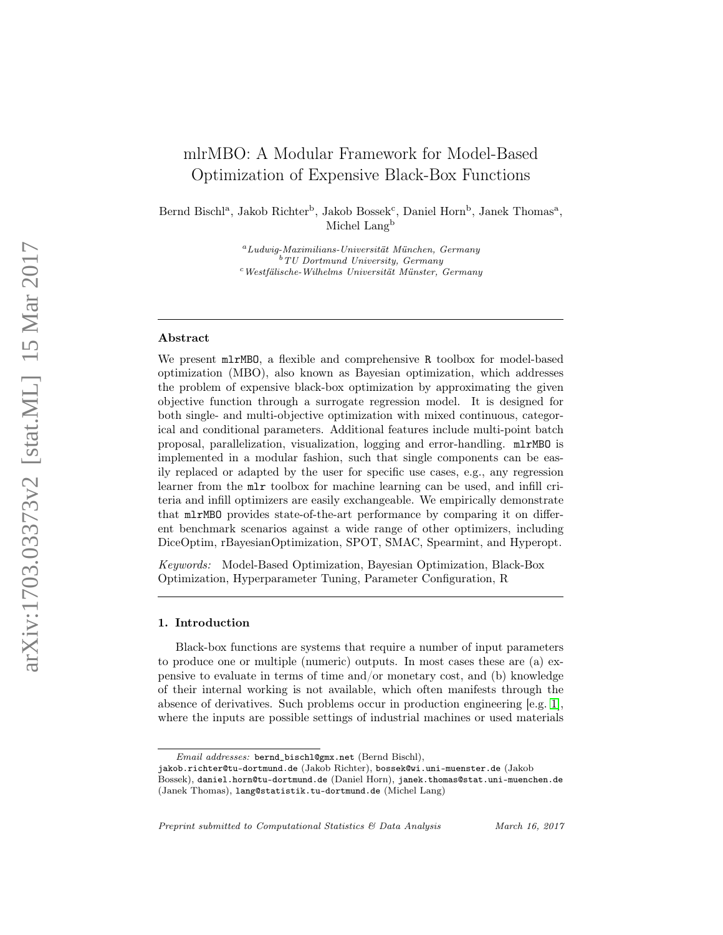# mlrMBO: A Modular Framework for Model-Based Optimization of Expensive Black-Box Functions

Bernd Bischl<sup>a</sup>, Jakob Richter<sup>b</sup>, Jakob Bossek<sup>c</sup>, Daniel Horn<sup>b</sup>, Janek Thomas<sup>a</sup>, Michel Lang<sup>b</sup>

> $a_L$ udwig-Maximilians-Universität München, Germany  $b<sup>b</sup> TU$  Dortmund University, Germany <sup>c</sup>Westfälische-Wilhelms Universität Münster, Germany

# Abstract

We present mlrMBO, a flexible and comprehensive R toolbox for model-based optimization (MBO), also known as Bayesian optimization, which addresses the problem of expensive black-box optimization by approximating the given objective function through a surrogate regression model. It is designed for both single- and multi-objective optimization with mixed continuous, categorical and conditional parameters. Additional features include multi-point batch proposal, parallelization, visualization, logging and error-handling. mlrMBO is implemented in a modular fashion, such that single components can be easily replaced or adapted by the user for specific use cases, e.g., any regression learner from the mlr toolbox for machine learning can be used, and infill criteria and infill optimizers are easily exchangeable. We empirically demonstrate that mlrMBO provides state-of-the-art performance by comparing it on different benchmark scenarios against a wide range of other optimizers, including DiceOptim, rBayesianOptimization, SPOT, SMAC, Spearmint, and Hyperopt.

Keywords: Model-Based Optimization, Bayesian Optimization, Black-Box Optimization, Hyperparameter Tuning, Parameter Configuration, R

# 1. Introduction

Black-box functions are systems that require a number of input parameters to produce one or multiple (numeric) outputs. In most cases these are (a) expensive to evaluate in terms of time and/or monetary cost, and (b) knowledge of their internal working is not available, which often manifests through the absence of derivatives. Such problems occur in production engineering [e.g. [1\]](#page-19-0), where the inputs are possible settings of industrial machines or used materials

Preprint submitted to Computational Statistics & Data Analysis March 16, 2017

Email addresses: bernd\_bischl@gmx.net (Bernd Bischl),

jakob.richter@tu-dortmund.de (Jakob Richter), bossek@wi.uni-muenster.de (Jakob

Bossek), daniel.horn@tu-dortmund.de (Daniel Horn), janek.thomas@stat.uni-muenchen.de (Janek Thomas), lang@statistik.tu-dortmund.de (Michel Lang)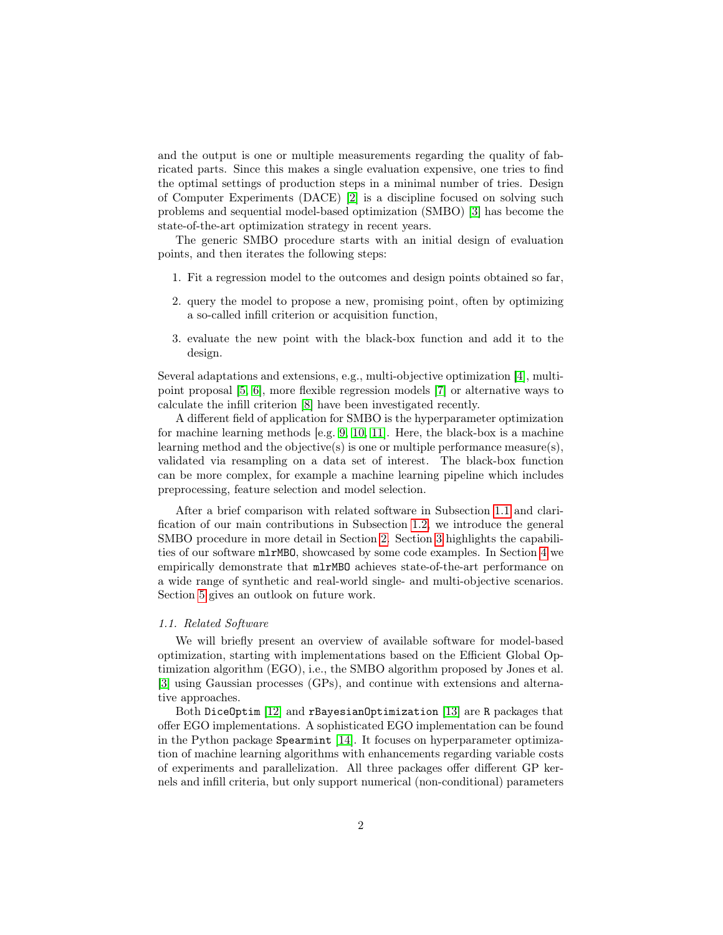and the output is one or multiple measurements regarding the quality of fabricated parts. Since this makes a single evaluation expensive, one tries to find the optimal settings of production steps in a minimal number of tries. Design of Computer Experiments (DACE) [\[2\]](#page-19-1) is a discipline focused on solving such problems and sequential model-based optimization (SMBO) [\[3\]](#page-19-2) has become the state-of-the-art optimization strategy in recent years.

The generic SMBO procedure starts with an initial design of evaluation points, and then iterates the following steps:

- 1. Fit a regression model to the outcomes and design points obtained so far,
- 2. query the model to propose a new, promising point, often by optimizing a so-called infill criterion or acquisition function,
- 3. evaluate the new point with the black-box function and add it to the design.

Several adaptations and extensions, e.g., multi-objective optimization [\[4\]](#page-19-3), multipoint proposal [\[5,](#page-19-4) [6\]](#page-19-5), more flexible regression models [\[7\]](#page-19-6) or alternative ways to calculate the infill criterion [\[8\]](#page-19-7) have been investigated recently.

A different field of application for SMBO is the hyperparameter optimization for machine learning methods [e.g. [9,](#page-19-8) [10,](#page-20-0) [11\]](#page-20-1). Here, the black-box is a machine learning method and the objective(s) is one or multiple performance measure(s), validated via resampling on a data set of interest. The black-box function can be more complex, for example a machine learning pipeline which includes preprocessing, feature selection and model selection.

After a brief comparison with related software in Subsection [1.1](#page-1-0) and clarification of our main contributions in Subsection [1.2,](#page-2-0) we introduce the general SMBO procedure in more detail in Section [2.](#page-3-0) Section [3](#page-10-0) highlights the capabilities of our software mlrMBO, showcased by some code examples. In Section [4](#page-13-0) we empirically demonstrate that mlrMBO achieves state-of-the-art performance on a wide range of synthetic and real-world single- and multi-objective scenarios. Section [5](#page-17-0) gives an outlook on future work.

### <span id="page-1-0"></span>1.1. Related Software

We will briefly present an overview of available software for model-based optimization, starting with implementations based on the Efficient Global Optimization algorithm (EGO), i.e., the SMBO algorithm proposed by Jones et al. [\[3\]](#page-19-2) using Gaussian processes (GPs), and continue with extensions and alternative approaches.

Both DiceOptim [\[12\]](#page-20-2) and rBayesianOptimization [\[13\]](#page-20-3) are R packages that offer EGO implementations. A sophisticated EGO implementation can be found in the Python package Spearmint [\[14\]](#page-20-4). It focuses on hyperparameter optimization of machine learning algorithms with enhancements regarding variable costs of experiments and parallelization. All three packages offer different GP kernels and infill criteria, but only support numerical (non-conditional) parameters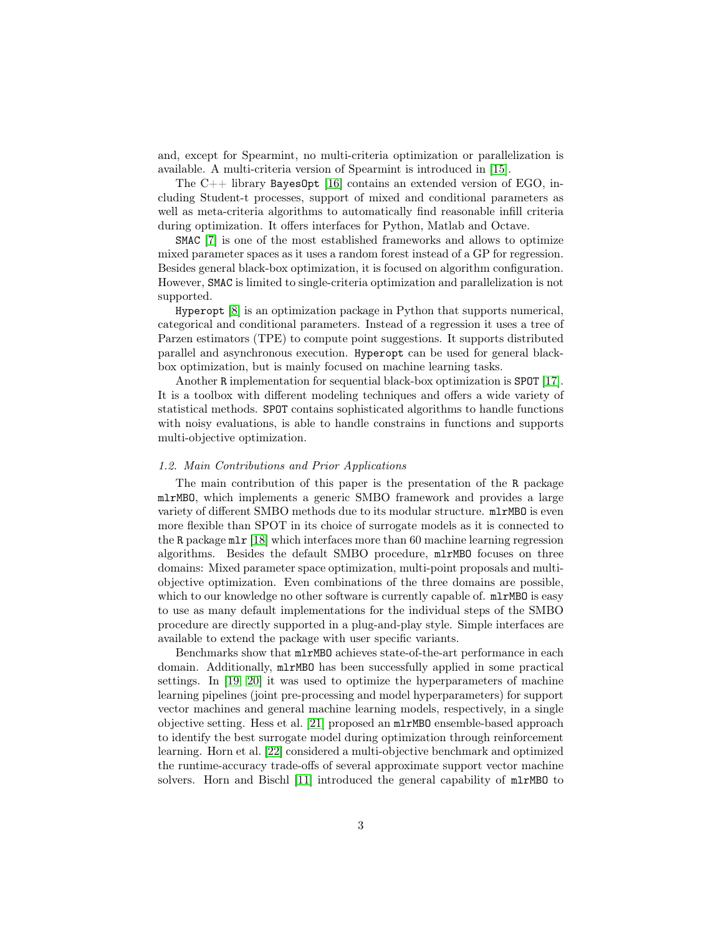and, except for Spearmint, no multi-criteria optimization or parallelization is available. A multi-criteria version of Spearmint is introduced in [\[15\]](#page-20-5).

The  $C_{++}$  library Bayes0pt [\[16\]](#page-20-6) contains an extended version of EGO, including Student-t processes, support of mixed and conditional parameters as well as meta-criteria algorithms to automatically find reasonable infill criteria during optimization. It offers interfaces for Python, Matlab and Octave.

SMAC [\[7\]](#page-19-6) is one of the most established frameworks and allows to optimize mixed parameter spaces as it uses a random forest instead of a GP for regression. Besides general black-box optimization, it is focused on algorithm configuration. However, SMAC is limited to single-criteria optimization and parallelization is not supported.

Hyperopt [\[8\]](#page-19-7) is an optimization package in Python that supports numerical, categorical and conditional parameters. Instead of a regression it uses a tree of Parzen estimators (TPE) to compute point suggestions. It supports distributed parallel and asynchronous execution. Hyperopt can be used for general blackbox optimization, but is mainly focused on machine learning tasks.

Another R implementation for sequential black-box optimization is SPOT [\[17\]](#page-20-7). It is a toolbox with different modeling techniques and offers a wide variety of statistical methods. SPOT contains sophisticated algorithms to handle functions with noisy evaluations, is able to handle constrains in functions and supports multi-objective optimization.

### <span id="page-2-0"></span>1.2. Main Contributions and Prior Applications

The main contribution of this paper is the presentation of the R package mlrMBO, which implements a generic SMBO framework and provides a large variety of different SMBO methods due to its modular structure. mlrMBO is even more flexible than SPOT in its choice of surrogate models as it is connected to the R package mlr [\[18\]](#page-20-8) which interfaces more than 60 machine learning regression algorithms. Besides the default SMBO procedure, mlrMBO focuses on three domains: Mixed parameter space optimization, multi-point proposals and multiobjective optimization. Even combinations of the three domains are possible, which to our knowledge no other software is currently capable of. mlrMBO is easy to use as many default implementations for the individual steps of the SMBO procedure are directly supported in a plug-and-play style. Simple interfaces are available to extend the package with user specific variants.

Benchmarks show that mlrMBO achieves state-of-the-art performance in each domain. Additionally, mlrMBO has been successfully applied in some practical settings. In [\[19,](#page-20-9) [20\]](#page-20-10) it was used to optimize the hyperparameters of machine learning pipelines (joint pre-processing and model hyperparameters) for support vector machines and general machine learning models, respectively, in a single objective setting. Hess et al. [\[21\]](#page-20-11) proposed an mlrMBO ensemble-based approach to identify the best surrogate model during optimization through reinforcement learning. Horn et al. [\[22\]](#page-21-0) considered a multi-objective benchmark and optimized the runtime-accuracy trade-offs of several approximate support vector machine solvers. Horn and Bischl [\[11\]](#page-20-1) introduced the general capability of mlrMBO to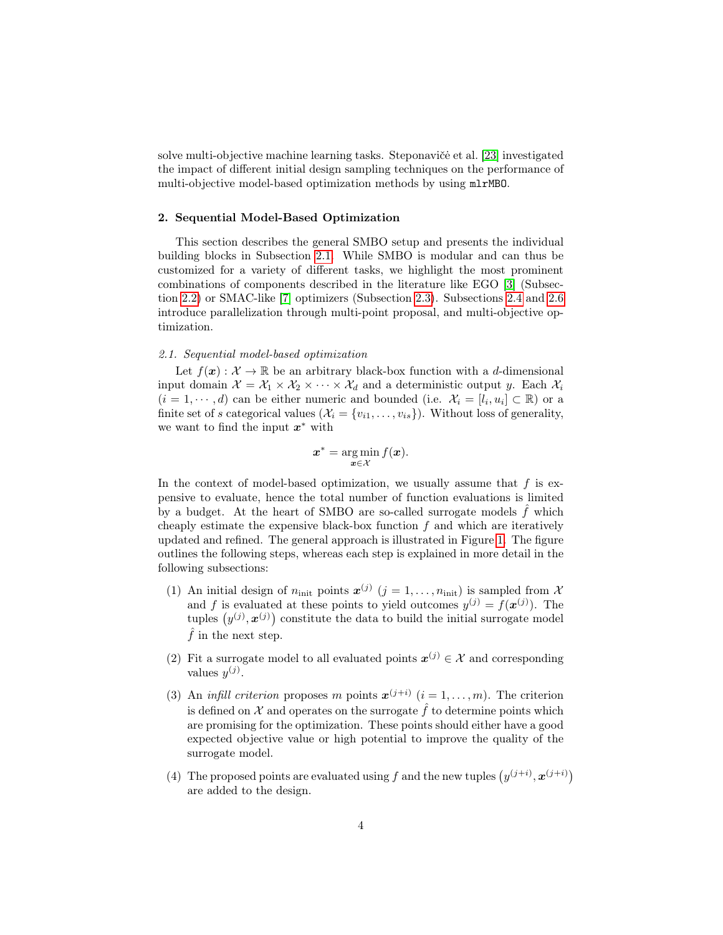solve multi-objective machine learning tasks. Steponaviče et al. [\[23\]](#page-21-1) investigated the impact of different initial design sampling techniques on the performance of multi-objective model-based optimization methods by using mlrMBO.

# <span id="page-3-0"></span>2. Sequential Model-Based Optimization

This section describes the general SMBO setup and presents the individual building blocks in Subsection [2.1.](#page-3-1) While SMBO is modular and can thus be customized for a variety of different tasks, we highlight the most prominent combinations of components described in the literature like EGO [\[3\]](#page-19-2) (Subsection [2.2\)](#page-7-0) or SMAC-like [\[7\]](#page-19-6) optimizers (Subsection [2.3\)](#page-7-1). Subsections [2.4](#page-9-0) and [2.6](#page-10-1) introduce parallelization through multi-point proposal, and multi-objective optimization.

#### <span id="page-3-1"></span>2.1. Sequential model-based optimization

Let  $f(\mathbf{x}) : \mathcal{X} \to \mathbb{R}$  be an arbitrary black-box function with a d-dimensional input domain  $\mathcal{X} = \mathcal{X}_1 \times \mathcal{X}_2 \times \cdots \times \mathcal{X}_d$  and a deterministic output y. Each  $\mathcal{X}_i$  $(i = 1, \dots, d)$  can be either numeric and bounded (i.e.  $\mathcal{X}_i = [l_i, u_i] \subset \mathbb{R}$ ) or a finite set of s categorical values  $(\mathcal{X}_i = \{v_{i1}, \ldots, v_{is}\})$ . Without loss of generality, we want to find the input  $x^*$  with

$$
\boldsymbol{x}^* = \argmin_{\boldsymbol{x} \in \mathcal{X}} f(\boldsymbol{x}).
$$

In the context of model-based optimization, we usually assume that  $f$  is expensive to evaluate, hence the total number of function evaluations is limited by a budget. At the heart of SMBO are so-called surrogate models  $\hat{f}$  which cheaply estimate the expensive black-box function  $f$  and which are iteratively updated and refined. The general approach is illustrated in Figure [1.](#page-4-0) The figure outlines the following steps, whereas each step is explained in more detail in the following subsections:

- (1) An initial design of  $n_{\text{init}}$  points  $\mathbf{x}^{(j)}$   $(j = 1, \ldots, n_{\text{init}})$  is sampled from X and f is evaluated at these points to yield outcomes  $y^{(j)} = f(x^{(j)})$ . The tuples  $(y^{(j)}, \boldsymbol{x}^{(j)})$  constitute the data to build the initial surrogate model  $\hat{f}$  in the next step.
- <span id="page-3-2"></span>(2) Fit a surrogate model to all evaluated points  $x^{(j)} \in \mathcal{X}$  and corresponding values  $y^{(j)}$ .
- (3) An *infill criterion* proposes m points  $x^{(j+i)}$   $(i = 1, ..., m)$ . The criterion is defined on X and operates on the surrogate  $\hat{f}$  to determine points which are promising for the optimization. These points should either have a good expected objective value or high potential to improve the quality of the surrogate model.
- (4) The proposed points are evaluated using f and the new tuples  $(y^{(j+i)}, x^{(j+i)})$ are added to the design.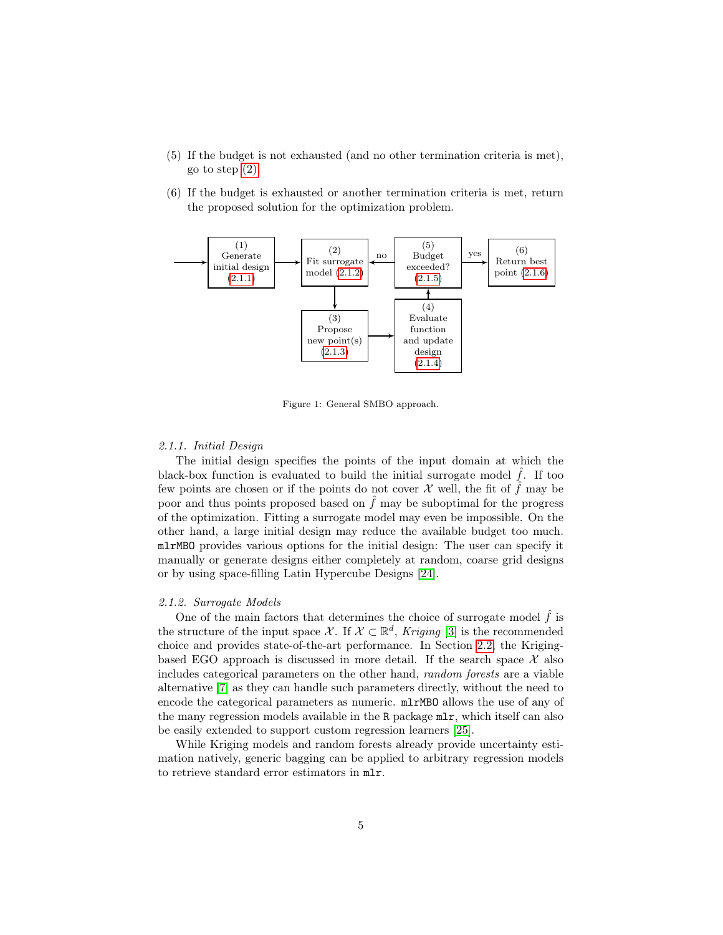- (5) If the budget is not exhausted (and no other termination criteria is met), go to step [\(2\).](#page-3-2)
- (6) If the budget is exhausted or another termination criteria is met, return the proposed solution for the optimization problem.



Figure 1: General SMBO approach.

# <span id="page-4-1"></span><span id="page-4-0"></span>2.1.1. Initial Design

The initial design specifies the points of the input domain at which the black-box function is evaluated to build the initial surrogate model  $\hat{f}$ . If too few points are chosen or if the points do not cover  $\mathcal X$  well, the fit of f may be poor and thus points proposed based on  $\hat{f}$  may be suboptimal for the progress of the optimization. Fitting a surrogate model may even be impossible. On the other hand, a large initial design may reduce the available budget too much. mlrMBO provides various options for the initial design: The user can specify it manually or generate designs either completely at random, coarse grid designs or by using space-filling Latin Hypercube Designs [\[24\]](#page-21-2).

# <span id="page-4-2"></span>2.1.2. Surrogate Models

One of the main factors that determines the choice of surrogate model  $\hat{f}$  is the structure of the input space X. If  $X \subset \mathbb{R}^d$ , Kriging [\[3\]](#page-19-2) is the recommended choice and provides state-of-the-art performance. In Section [2.2,](#page-7-0) the Krigingbased EGO approach is discussed in more detail. If the search space  $\mathcal X$  also includes categorical parameters on the other hand, random forests are a viable alternative [\[7\]](#page-19-6) as they can handle such parameters directly, without the need to encode the categorical parameters as numeric. mlrMBO allows the use of any of the many regression models available in the R package mlr, which itself can also be easily extended to support custom regression learners [\[25\]](#page-21-3).

While Kriging models and random forests already provide uncertainty estimation natively, generic bagging can be applied to arbitrary regression models to retrieve standard error estimators in mlr.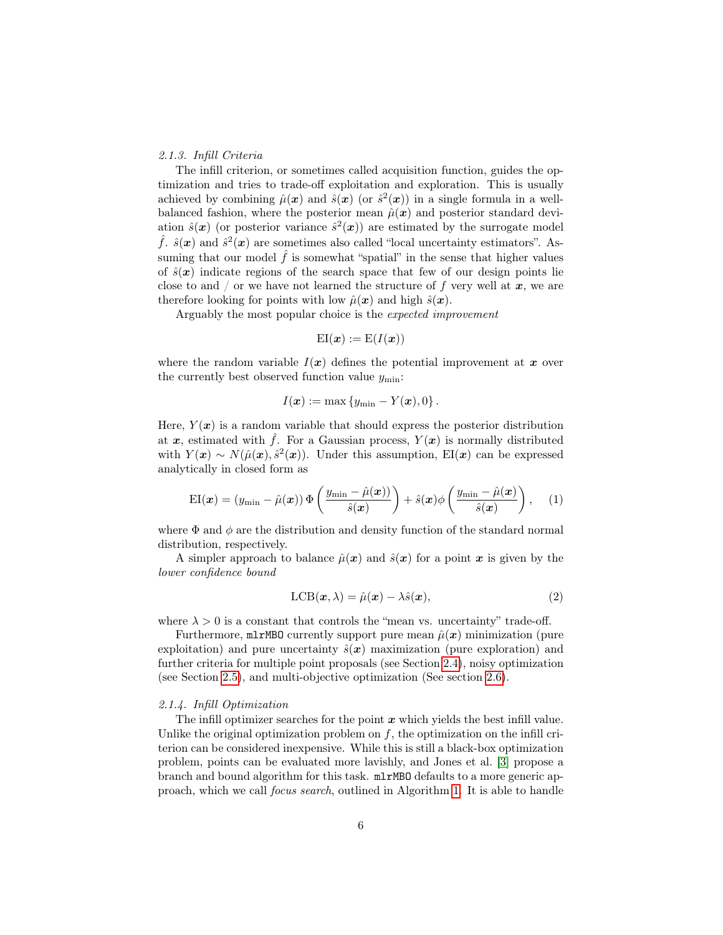# <span id="page-5-0"></span>2.1.3. Infill Criteria

The infill criterion, or sometimes called acquisition function, guides the optimization and tries to trade-off exploitation and exploration. This is usually achieved by combining  $\hat{\mu}(\bm{x})$  and  $\hat{s}(\bm{x})$  (or  $\hat{s}^2(\bm{x})$ ) in a single formula in a wellbalanced fashion, where the posterior mean  $\hat{\mu}(\boldsymbol{x})$  and posterior standard deviation  $\hat{s}(x)$  (or posterior variance  $\hat{s}^2(x)$ ) are estimated by the surrogate model  $\hat{f}$ .  $\hat{s}(\mathbf{x})$  and  $\hat{s}^2(\mathbf{x})$  are sometimes also called "local uncertainty estimators". Assuming that our model  $\hat{f}$  is somewhat "spatial" in the sense that higher values of  $\hat{s}(x)$  indicate regions of the search space that few of our design points lie close to and / or we have not learned the structure of f very well at  $x$ , we are therefore looking for points with low  $\hat{\mu}(\boldsymbol{x})$  and high  $\hat{s}(\boldsymbol{x})$ .

Arguably the most popular choice is the expected improvement

$$
\mathrm{EI}(\boldsymbol{x}):=\mathrm{E}(I(\boldsymbol{x}))
$$

where the random variable  $I(x)$  defines the potential improvement at x over the currently best observed function value  $y_{\text{min}}$ :

<span id="page-5-2"></span>
$$
I(\boldsymbol{x}):=\max\left\{y_{\min}-Y(\boldsymbol{x}),0\right\}.
$$

Here,  $Y(x)$  is a random variable that should express the posterior distribution at x, estimated with  $\hat{f}$ . For a Gaussian process,  $Y(x)$  is normally distributed with  $Y(x) \sim N(\hat{\mu}(x), \hat{s}^2(x))$ . Under this assumption, EI(x) can be expressed analytically in closed form as

$$
EI(\boldsymbol{x}) = (y_{\min} - \hat{\mu}(\boldsymbol{x})) \Phi\left(\frac{y_{\min} - \hat{\mu}(\boldsymbol{x}))}{\hat{s}(\boldsymbol{x})}\right) + \hat{s}(\boldsymbol{x}) \phi\left(\frac{y_{\min} - \hat{\mu}(\boldsymbol{x})}{\hat{s}(\boldsymbol{x})}\right), \quad (1)
$$

where  $\Phi$  and  $\phi$  are the distribution and density function of the standard normal distribution, respectively.

A simpler approach to balance  $\hat{\mu}(\bm{x})$  and  $\hat{s}(\bm{x})$  for a point  $\bm{x}$  is given by the lower confidence bound

$$
LCB(\mathbf{x}, \lambda) = \hat{\mu}(\mathbf{x}) - \lambda \hat{s}(\mathbf{x}), \qquad (2)
$$

where  $\lambda > 0$  is a constant that controls the "mean vs. uncertainty" trade-off.

Furthermore,  $mlrMBO$  currently support pure mean  $\hat{\mu}(x)$  minimization (pure exploitation) and pure uncertainty  $\hat{s}(x)$  maximization (pure exploration) and further criteria for multiple point proposals (see Section [2.4\)](#page-9-0), noisy optimization (see Section [2.5\)](#page-9-1), and multi-objective optimization (See section [2.6\)](#page-10-1).

### <span id="page-5-1"></span>2.1.4. Infill Optimization

The infill optimizer searches for the point  $x$  which yields the best infill value. Unlike the original optimization problem on  $f$ , the optimization on the infill criterion can be considered inexpensive. While this is still a black-box optimization problem, points can be evaluated more lavishly, and Jones et al. [\[3\]](#page-19-2) propose a branch and bound algorithm for this task. mlrMBO defaults to a more generic approach, which we call focus search, outlined in Algorithm [1.](#page-6-2) It is able to handle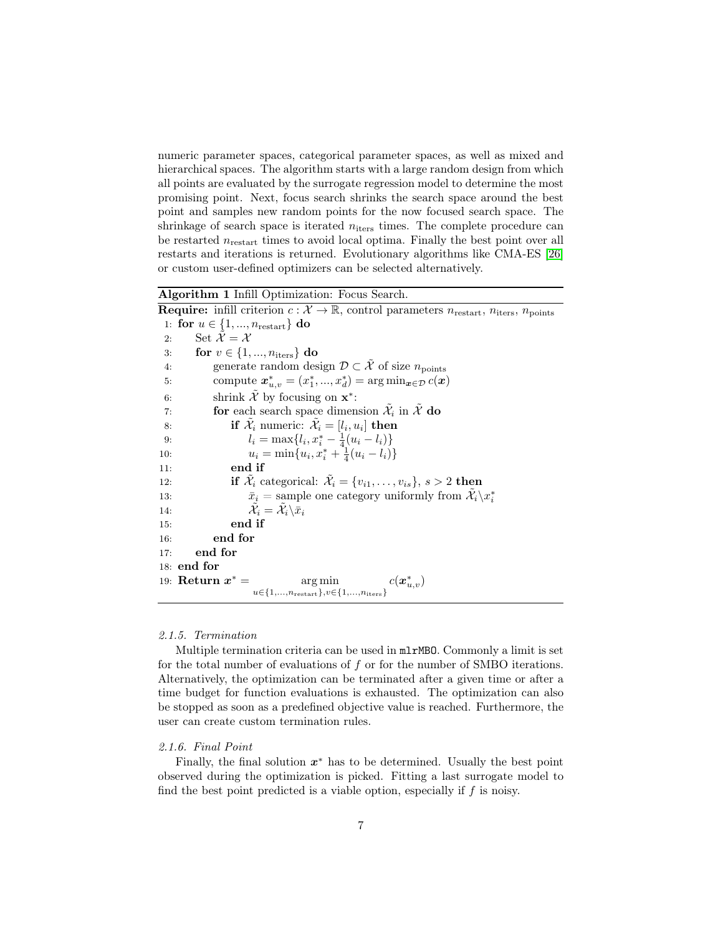numeric parameter spaces, categorical parameter spaces, as well as mixed and hierarchical spaces. The algorithm starts with a large random design from which all points are evaluated by the surrogate regression model to determine the most promising point. Next, focus search shrinks the search space around the best point and samples new random points for the now focused search space. The shrinkage of search space is iterated  $n_{\text{iters}}$  times. The complete procedure can be restarted  $n_{\text{restart}}$  times to avoid local optima. Finally the best point over all restarts and iterations is returned. Evolutionary algorithms like CMA-ES [\[26\]](#page-21-4) or custom user-defined optimizers can be selected alternatively.

Algorithm 1 Infill Optimization: Focus Search.

**Require:** infill criterion  $c: \mathcal{X} \to \mathbb{R}$ , control parameters  $n_{\text{restart}}$ ,  $n_{\text{iters}}$ ,  $n_{\text{points}}$ 1: for  $u \in \{1, ..., n_{\text{restart}}\}$  do 2: Set  $\mathcal{\tilde{X}} = \mathcal{X}$ 3: for  $v \in \{1, ..., n_{\text{iters}}\}$  do 4: generate random design  $\mathcal{D} \subset \tilde{\mathcal{X}}$  of size  $n_{\text{points}}$ 5: compute  $x_{u,v}^* = (x_1^*, ..., x_d^*) = \arg \min_{\mathbf{x} \in \mathcal{D}} c(\mathbf{x})$ 6: shrink  $\tilde{\mathcal{X}}$  by focusing on  $\mathbf{x}^*$ : 7: **for** each search space dimension  $\tilde{\mathcal{X}}_i$  in  $\tilde{\mathcal{X}}$  do 8: **if**  $\mathcal{\tilde{X}}_i$  numeric:  $\mathcal{\tilde{X}}_i = [l_i, u_i]$  **then** 9:  $l_i = \max\{l_i, x_i^* - \frac{1}{4}(u_i - l_i)\}\$ 10:  $u_i = \min\{u_i, x_i^* + \frac{1}{4}(u_i - l_i)\}\$ 11: end if 12: **if**  $\tilde{\mathcal{X}}_i$  categorical:  $\tilde{\mathcal{X}}_i = \{v_{i1}, \ldots, v_{is}\}, s > 2$  then 13:  $\bar{x}_i = \text{sample one category uniformly from } \tilde{\mathcal{X}}_i \backslash x_i^*$ 14:  $\tilde{\mathcal{X}}$  $\tilde{i}_i = \tilde{\mathcal{X}}_i \backslash \bar{\bar{x}}_i$ 15: end if 16: end for 17: end for 18: end for 19: Return  $x^* =$  $* = \arg \min$  $u \in \{1, \ldots, n_{\text{restart}}\}, v \in \{1, \ldots, n_{\text{iters}}\}$  $c(\boldsymbol{x}_{u,v}^{\ast})$ 

# <span id="page-6-2"></span><span id="page-6-0"></span>2.1.5. Termination

Multiple termination criteria can be used in mlrMBO. Commonly a limit is set for the total number of evaluations of  $f$  or for the number of SMBO iterations. Alternatively, the optimization can be terminated after a given time or after a time budget for function evaluations is exhausted. The optimization can also be stopped as soon as a predefined objective value is reached. Furthermore, the user can create custom termination rules.

#### <span id="page-6-1"></span>2.1.6. Final Point

Finally, the final solution  $x^*$  has to be determined. Usually the best point observed during the optimization is picked. Fitting a last surrogate model to find the best point predicted is a viable option, especially if  $f$  is noisy.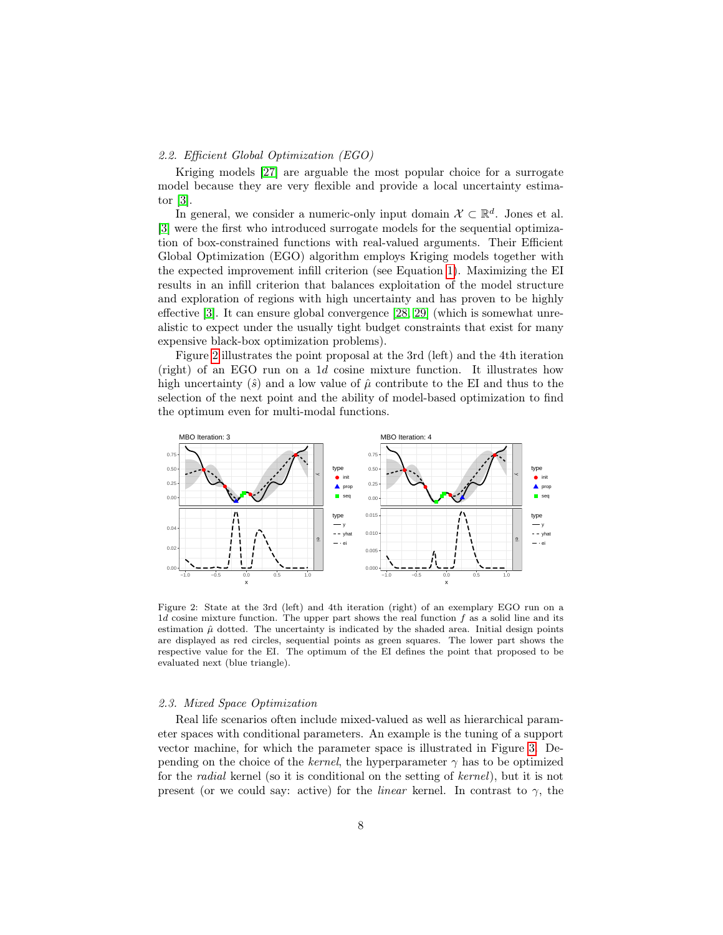### <span id="page-7-0"></span>2.2. Efficient Global Optimization (EGO)

Kriging models [\[27\]](#page-21-5) are arguable the most popular choice for a surrogate model because they are very flexible and provide a local uncertainty estimator [\[3\]](#page-19-2).

In general, we consider a numeric-only input domain  $\mathcal{X} \subset \mathbb{R}^d$ . Jones et al. [\[3\]](#page-19-2) were the first who introduced surrogate models for the sequential optimization of box-constrained functions with real-valued arguments. Their Efficient Global Optimization (EGO) algorithm employs Kriging models together with the expected improvement infill criterion (see Equation [1\)](#page-5-2). Maximizing the EI results in an infill criterion that balances exploitation of the model structure and exploration of regions with high uncertainty and has proven to be highly effective [\[3\]](#page-19-2). It can ensure global convergence [\[28,](#page-21-6) [29\]](#page-21-7) (which is somewhat unrealistic to expect under the usually tight budget constraints that exist for many expensive black-box optimization problems).

Figure [2](#page-7-2) illustrates the point proposal at the 3rd (left) and the 4th iteration (right) of an EGO run on a 1d cosine mixture function. It illustrates how high uncertainty  $(\hat{s})$  and a low value of  $\hat{\mu}$  contribute to the EI and thus to the selection of the next point and the ability of model-based optimization to find the optimum even for multi-modal functions.



<span id="page-7-2"></span>Figure 2: State at the 3rd (left) and 4th iteration (right) of an exemplary EGO run on a  $1d$  cosine mixture function. The upper part shows the real function  $f$  as a solid line and its estimation  $\hat{\mu}$  dotted. The uncertainty is indicated by the shaded area. Initial design points are displayed as red circles, sequential points as green squares. The lower part shows the respective value for the EI. The optimum of the EI defines the point that proposed to be evaluated next (blue triangle).

#### <span id="page-7-1"></span>2.3. Mixed Space Optimization

Real life scenarios often include mixed-valued as well as hierarchical parameter spaces with conditional parameters. An example is the tuning of a support vector machine, for which the parameter space is illustrated in Figure [3.](#page-8-0) Depending on the choice of the kernel, the hyperparameter  $\gamma$  has to be optimized for the radial kernel (so it is conditional on the setting of kernel), but it is not present (or we could say: active) for the *linear* kernel. In contrast to  $\gamma$ , the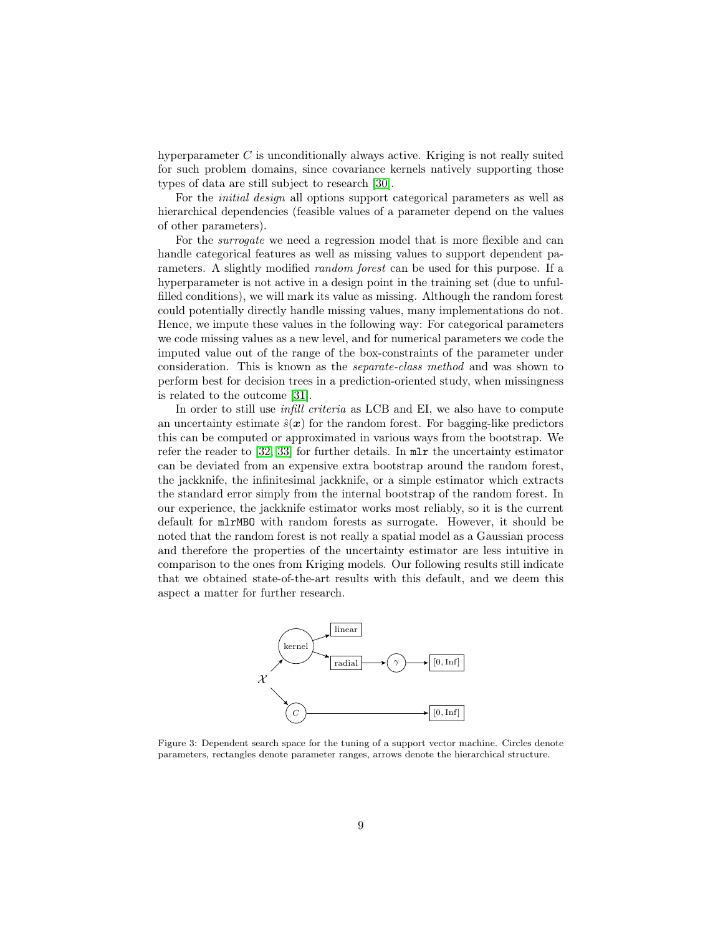hyperparameter C is unconditionally always active. Kriging is not really suited for such problem domains, since covariance kernels natively supporting those types of data are still subject to research [\[30\]](#page-21-8).

For the initial design all options support categorical parameters as well as hierarchical dependencies (feasible values of a parameter depend on the values of other parameters).

For the *surrogate* we need a regression model that is more flexible and can handle categorical features as well as missing values to support dependent parameters. A slightly modified random forest can be used for this purpose. If a hyperparameter is not active in a design point in the training set (due to unfulfilled conditions), we will mark its value as missing. Although the random forest could potentially directly handle missing values, many implementations do not. Hence, we impute these values in the following way: For categorical parameters we code missing values as a new level, and for numerical parameters we code the imputed value out of the range of the box-constraints of the parameter under consideration. This is known as the separate-class method and was shown to perform best for decision trees in a prediction-oriented study, when missingness is related to the outcome [\[31\]](#page-21-9).

In order to still use *infill criteria* as LCB and EI, we also have to compute an uncertainty estimate  $\hat{s}(\mathbf{x})$  for the random forest. For bagging-like predictors this can be computed or approximated in various ways from the bootstrap. We refer the reader to [\[32,](#page-21-10) [33\]](#page-21-11) for further details. In mlr the uncertainty estimator can be deviated from an expensive extra bootstrap around the random forest, the jackknife, the infinitesimal jackknife, or a simple estimator which extracts the standard error simply from the internal bootstrap of the random forest. In our experience, the jackknife estimator works most reliably, so it is the current default for mlrMBO with random forests as surrogate. However, it should be noted that the random forest is not really a spatial model as a Gaussian process and therefore the properties of the uncertainty estimator are less intuitive in comparison to the ones from Kriging models. Our following results still indicate that we obtained state-of-the-art results with this default, and we deem this aspect a matter for further research.

<span id="page-8-0"></span>

Figure 3: Dependent search space for the tuning of a support vector machine. Circles denote parameters, rectangles denote parameter ranges, arrows denote the hierarchical structure.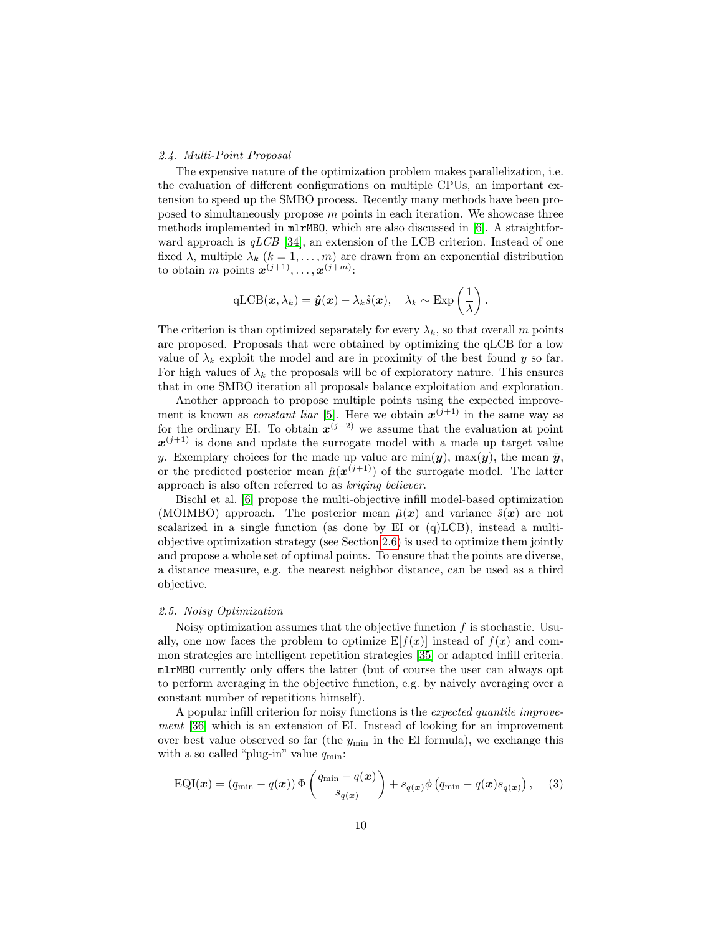### <span id="page-9-0"></span>2.4. Multi-Point Proposal

The expensive nature of the optimization problem makes parallelization, i.e. the evaluation of different configurations on multiple CPUs, an important extension to speed up the SMBO process. Recently many methods have been proposed to simultaneously propose  $m$  points in each iteration. We showcase three methods implemented in mlrMBO, which are also discussed in [\[6\]](#page-19-5). A straightforward approach is  $qLCB$  [\[34\]](#page-22-0), an extension of the LCB criterion. Instead of one fixed  $\lambda$ , multiple  $\lambda_k$   $(k = 1, ..., m)$  are drawn from an exponential distribution to obtain m points  $\mathbf{x}^{(j+1)}, \ldots, \mathbf{x}^{(j+m)}$ :

$$
\mathrm{qLCB}(\boldsymbol{x}, \lambda_k) = \boldsymbol{\hat{y}}(\boldsymbol{x}) - \lambda_k \hat{s}(\boldsymbol{x}), \quad \lambda_k \sim \mathrm{Exp}\left(\frac{1}{\lambda}\right).
$$

The criterion is than optimized separately for every  $\lambda_k$ , so that overall m points are proposed. Proposals that were obtained by optimizing the qLCB for a low value of  $\lambda_k$  exploit the model and are in proximity of the best found y so far. For high values of  $\lambda_k$  the proposals will be of exploratory nature. This ensures that in one SMBO iteration all proposals balance exploitation and exploration.

Another approach to propose multiple points using the expected improvement is known as *constant liar* [\[5\]](#page-19-4). Here we obtain  $x^{(j+1)}$  in the same way as for the ordinary EI. To obtain  $x^{(j+2)}$  we assume that the evaluation at point  $x^{(j+1)}$  is done and update the surrogate model with a made up target value y. Exemplary choices for the made up value are  $\min(\mathbf{y})$ ,  $\max(\mathbf{y})$ , the mean  $\bar{\mathbf{y}}$ , or the predicted posterior mean  $\hat{\mu}(\boldsymbol{x}^{(j+1)})$  of the surrogate model. The latter approach is also often referred to as kriging believer.

Bischl et al. [\[6\]](#page-19-5) propose the multi-objective infill model-based optimization (MOIMBO) approach. The posterior mean  $\hat{\mu}(\boldsymbol{x})$  and variance  $\hat{s}(\boldsymbol{x})$  are not scalarized in a single function (as done by EI or  $(q) LCB$ ), instead a multiobjective optimization strategy (see Section [2.6\)](#page-10-1) is used to optimize them jointly and propose a whole set of optimal points. To ensure that the points are diverse, a distance measure, e.g. the nearest neighbor distance, can be used as a third objective.

# <span id="page-9-1"></span>2.5. Noisy Optimization

Noisy optimization assumes that the objective function  $f$  is stochastic. Usually, one now faces the problem to optimize  $E[f(x)]$  instead of  $f(x)$  and common strategies are intelligent repetition strategies [\[35\]](#page-22-1) or adapted infill criteria. mlrMBO currently only offers the latter (but of course the user can always opt to perform averaging in the objective function, e.g. by naively averaging over a constant number of repetitions himself).

A popular infill criterion for noisy functions is the expected quantile improvement [\[36\]](#page-22-2) which is an extension of EI. Instead of looking for an improvement over best value observed so far (the  $y_{\text{min}}$  in the EI formula), we exchange this with a so called "plug-in" value  $q_{\text{min}}$ :

$$
EQI(\boldsymbol{x}) = (q_{\min} - q(\boldsymbol{x})) \Phi\left(\frac{q_{\min} - q(\boldsymbol{x})}{s_{q(\boldsymbol{x})}}\right) + s_{q(\boldsymbol{x})} \phi\left(q_{\min} - q(\boldsymbol{x})s_{q(\boldsymbol{x})}\right), \quad (3)
$$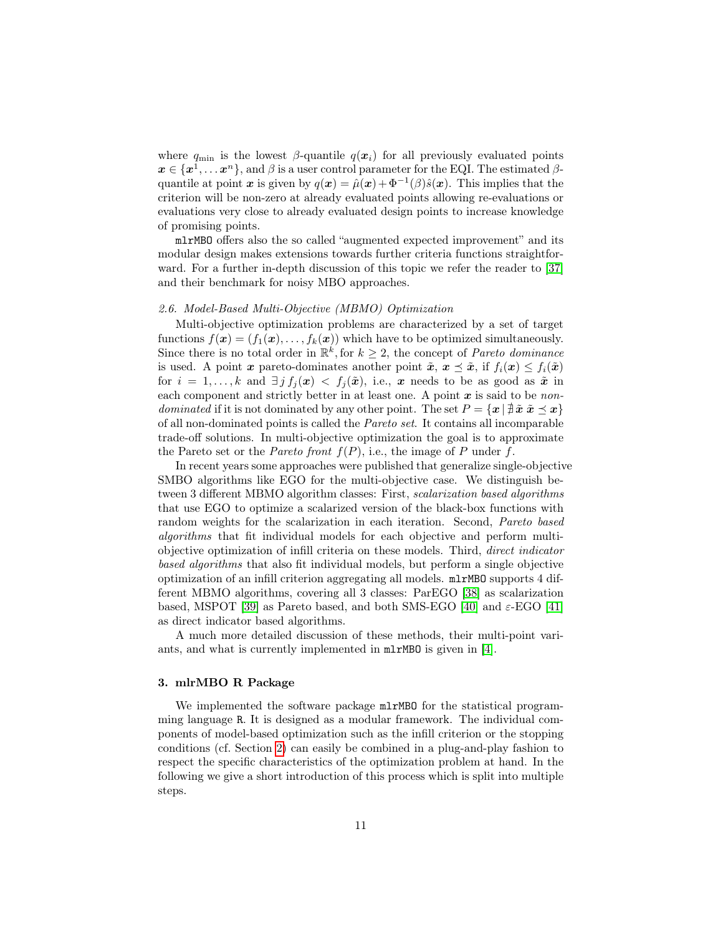where  $q_{\min}$  is the lowest  $\beta$ -quantile  $q(x_i)$  for all previously evaluated points  $x \in \{x^1, \ldots x^n\}$ , and  $\beta$  is a user control parameter for the EQI. The estimated  $\beta$ quantile at point x is given by  $q(x) = \hat{\mu}(x) + \Phi^{-1}(\beta)\hat{s}(x)$ . This implies that the criterion will be non-zero at already evaluated points allowing re-evaluations or evaluations very close to already evaluated design points to increase knowledge of promising points.

mlrMBO offers also the so called "augmented expected improvement" and its modular design makes extensions towards further criteria functions straightforward. For a further in-depth discussion of this topic we refer the reader to [\[37\]](#page-22-3) and their benchmark for noisy MBO approaches.

### <span id="page-10-1"></span>2.6. Model-Based Multi-Objective (MBMO) Optimization

Multi-objective optimization problems are characterized by a set of target functions  $f(\mathbf{x}) = (f_1(\mathbf{x}), \dots, f_k(\mathbf{x}))$  which have to be optimized simultaneously. Since there is no total order in  $\mathbb{R}^k$ , for  $k \geq 2$ , the concept of *Pareto dominance* is used. A point x pareto-dominates another point  $\tilde{x}, x \leq \tilde{x}$ , if  $f_i(x) \leq f_i(\tilde{x})$ for  $i = 1, ..., k$  and  $\exists j f_j(x) < f_j(\tilde{x})$ , i.e., x needs to be as good as  $\tilde{x}$  in each component and strictly better in at least one. A point  $x$  is said to be non*dominated* if it is not dominated by any other point. The set  $P = \{x \mid \text{\rexists} \tilde{x} \ \tilde{x} \preceq x\}$ of all non-dominated points is called the Pareto set. It contains all incomparable trade-off solutions. In multi-objective optimization the goal is to approximate the Pareto set or the *Pareto front*  $f(P)$ , i.e., the image of P under f.

In recent years some approaches were published that generalize single-objective SMBO algorithms like EGO for the multi-objective case. We distinguish between 3 different MBMO algorithm classes: First, scalarization based algorithms that use EGO to optimize a scalarized version of the black-box functions with random weights for the scalarization in each iteration. Second, Pareto based algorithms that fit individual models for each objective and perform multiobjective optimization of infill criteria on these models. Third, direct indicator based algorithms that also fit individual models, but perform a single objective optimization of an infill criterion aggregating all models. mlrMBO supports 4 different MBMO algorithms, covering all 3 classes: ParEGO [\[38\]](#page-22-4) as scalarization based, MSPOT [\[39\]](#page-22-5) as Pareto based, and both SMS-EGO [\[40\]](#page-22-6) and  $\varepsilon$ -EGO [\[41\]](#page-22-7) as direct indicator based algorithms.

A much more detailed discussion of these methods, their multi-point variants, and what is currently implemented in mlrMBO is given in [\[4\]](#page-19-3).

# <span id="page-10-0"></span>3. mlrMBO R Package

We implemented the software package  $m\text{L}\text{M}$ BO for the statistical programming language R. It is designed as a modular framework. The individual components of model-based optimization such as the infill criterion or the stopping conditions (cf. Section [2\)](#page-3-0) can easily be combined in a plug-and-play fashion to respect the specific characteristics of the optimization problem at hand. In the following we give a short introduction of this process which is split into multiple steps.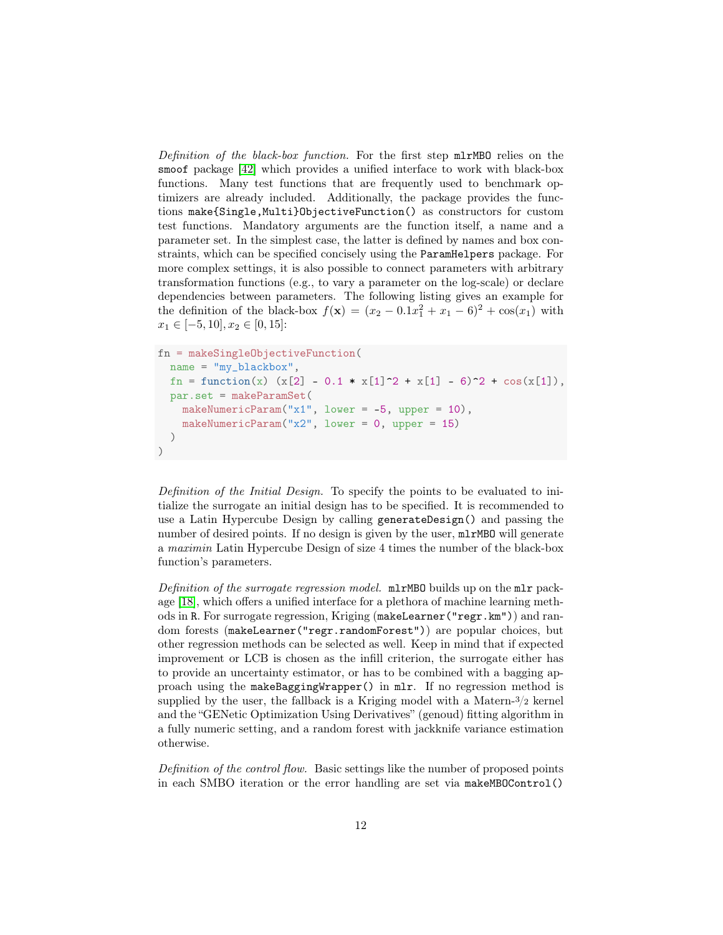Definition of the black-box function. For the first step mlrMBO relies on the smoof package [\[42\]](#page-22-8) which provides a unified interface to work with black-box functions. Many test functions that are frequently used to benchmark optimizers are already included. Additionally, the package provides the functions make{Single,Multi}ObjectiveFunction() as constructors for custom test functions. Mandatory arguments are the function itself, a name and a parameter set. In the simplest case, the latter is defined by names and box constraints, which can be specified concisely using the ParamHelpers package. For more complex settings, it is also possible to connect parameters with arbitrary transformation functions (e.g., to vary a parameter on the log-scale) or declare dependencies between parameters. The following listing gives an example for the definition of the black-box  $f(\mathbf{x}) = (x_2 - 0.1x_1^2 + x_1 - 6)^2 + \cos(x_1)$  with  $x_1 \in [-5, 10], x_2 \in [0, 15]:$ 

```
fn = makeSingleObjectiveFunction(
 name = "my_blackbox",
  fn = function(x) (x[2] - 0.1 * x[1]^2 + x[1] - 6)^2 + cos(x[1]),par.set = makeParamSet(
    makeNumericParam("x1", lower = -5, upper = 10),
    makeNumericParam("x2", lower = 0, upper = 15)
 )
)
```
Definition of the Initial Design. To specify the points to be evaluated to initialize the surrogate an initial design has to be specified. It is recommended to use a Latin Hypercube Design by calling generateDesign() and passing the number of desired points. If no design is given by the user,  $mlrMBO$  will generate a maximin Latin Hypercube Design of size 4 times the number of the black-box function's parameters.

Definition of the surrogate regression model.  $m\text{mTMBO}$  builds up on the  $m\text{mT}$  package [\[18\]](#page-20-8), which offers a unified interface for a plethora of machine learning methods in R. For surrogate regression, Kriging (makeLearner("regr.km")) and random forests (makeLearner("regr.randomForest")) are popular choices, but other regression methods can be selected as well. Keep in mind that if expected improvement or LCB is chosen as the infill criterion, the surrogate either has to provide an uncertainty estimator, or has to be combined with a bagging approach using the makeBaggingWrapper() in mlr. If no regression method is supplied by the user, the fallback is a Kriging model with a Matern- $\frac{3}{2}$  kernel and the "GENetic Optimization Using Derivatives" (genoud) fitting algorithm in a fully numeric setting, and a random forest with jackknife variance estimation otherwise.

Definition of the control flow. Basic settings like the number of proposed points in each SMBO iteration or the error handling are set via makeMBOControl()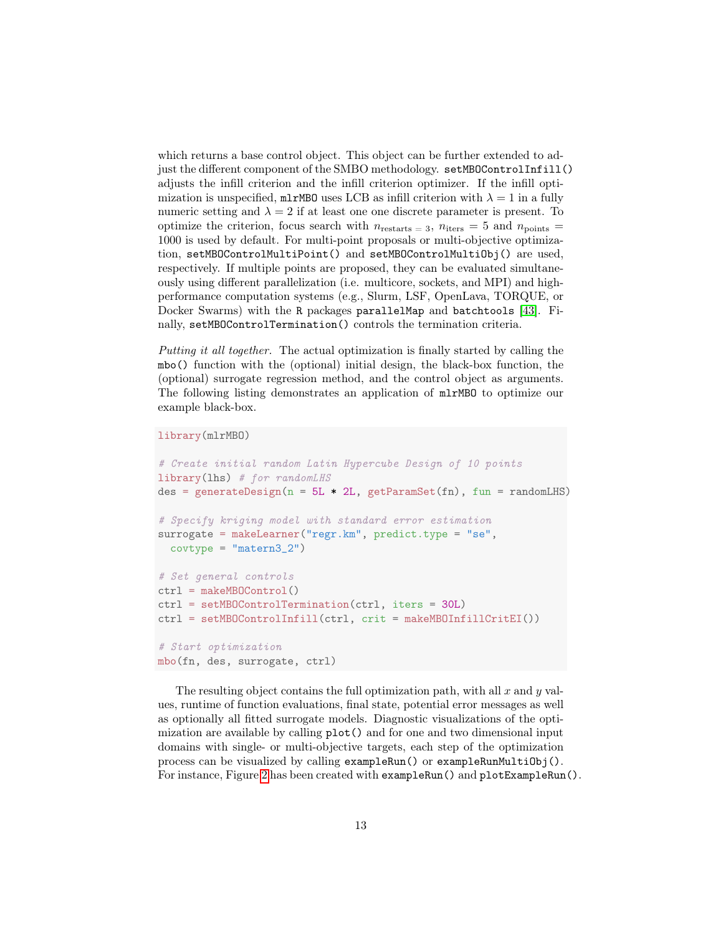which returns a base control object. This object can be further extended to adjust the different component of the SMBO methodology. setMB0ControlInfill() adjusts the infill criterion and the infill criterion optimizer. If the infill optimization is unspecified,  $mlrMBO$  uses LCB as infill criterion with  $\lambda = 1$  in a fully numeric setting and  $\lambda = 2$  if at least one one discrete parameter is present. To optimize the criterion, focus search with  $n_{\text{restarts}} = 3$ ,  $n_{\text{iters}} = 5$  and  $n_{\text{points}} =$ 1000 is used by default. For multi-point proposals or multi-objective optimization, setMBOControlMultiPoint() and setMBOControlMultiObj() are used, respectively. If multiple points are proposed, they can be evaluated simultaneously using different parallelization (i.e. multicore, sockets, and MPI) and highperformance computation systems (e.g., Slurm, LSF, OpenLava, TORQUE, or Docker Swarms) with the R packages parallelMap and batchtools [\[43\]](#page-22-9). Finally, setMBOControlTermination() controls the termination criteria.

Putting it all together. The actual optimization is finally started by calling the mbo() function with the (optional) initial design, the black-box function, the (optional) surrogate regression method, and the control object as arguments. The following listing demonstrates an application of mlrMBO to optimize our example black-box.

library(mlrMBO)

```
# Create initial random Latin Hypercube Design of 10 points
library(lhs) # for randomLHS
des = generateDesign(n = 5L * 2L, getParamSet(fn), fun = randomLHS)
# Specify kriging model with standard error estimation
surrogate = makeLearner("regr.km", predict.type = "se",
  covtype = "matern3_2")
# Set general controls
ctrl = makeMBOControl()
ctrl = setMBOControlTermination(ctrl, iters = 30L)
ctrl = setMBOControlInfill(ctrl, crit = makeMBOInfillCritEI())
# Start optimization
mbo(fn, des, surrogate, ctrl)
```
The resulting object contains the full optimization path, with all  $x$  and  $y$  values, runtime of function evaluations, final state, potential error messages as well as optionally all fitted surrogate models. Diagnostic visualizations of the optimization are available by calling plot() and for one and two dimensional input domains with single- or multi-objective targets, each step of the optimization process can be visualized by calling exampleRun() or exampleRunMultiObj(). For instance, Figure [2](#page-7-2) has been created with exampleRun() and plotExampleRun().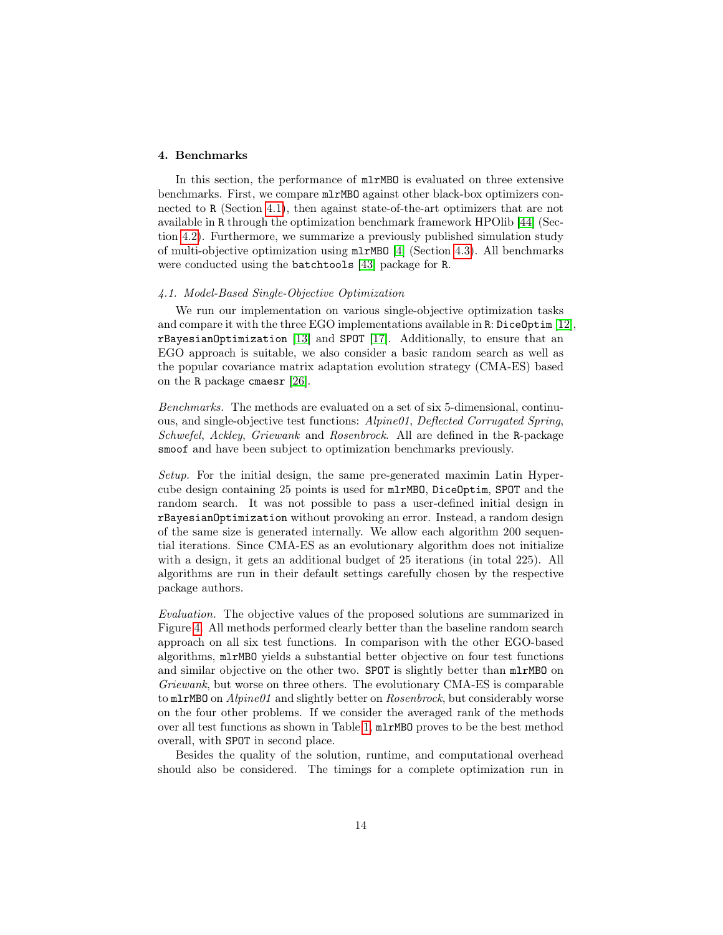# <span id="page-13-0"></span>4. Benchmarks

In this section, the performance of mlrMBO is evaluated on three extensive benchmarks. First, we compare mlrMBO against other black-box optimizers connected to R (Section [4.1\)](#page-13-1), then against state-of-the-art optimizers that are not available in R through the optimization benchmark framework HPOlib [\[44\]](#page-22-10) (Section [4.2\)](#page-15-0). Furthermore, we summarize a previously published simulation study of multi-objective optimization using mlrMBO [\[4\]](#page-19-3) (Section [4.3\)](#page-16-0). All benchmarks were conducted using the batchtools [\[43\]](#page-22-9) package for R.

### <span id="page-13-1"></span>4.1. Model-Based Single-Objective Optimization

We run our implementation on various single-objective optimization tasks and compare it with the three EGO implementations available in R: DiceOptim [\[12\]](#page-20-2), rBayesianOptimization [\[13\]](#page-20-3) and SPOT [\[17\]](#page-20-7). Additionally, to ensure that an EGO approach is suitable, we also consider a basic random search as well as the popular covariance matrix adaptation evolution strategy (CMA-ES) based on the R package cmaesr [\[26\]](#page-21-4).

Benchmarks. The methods are evaluated on a set of six 5-dimensional, continuous, and single-objective test functions: Alpine01, Deflected Corrugated Spring, Schwefel, Ackley, Griewank and Rosenbrock. All are defined in the R-package smoof and have been subject to optimization benchmarks previously.

Setup. For the initial design, the same pre-generated maximin Latin Hypercube design containing 25 points is used for mlrMBO, DiceOptim, SPOT and the random search. It was not possible to pass a user-defined initial design in rBayesianOptimization without provoking an error. Instead, a random design of the same size is generated internally. We allow each algorithm 200 sequential iterations. Since CMA-ES as an evolutionary algorithm does not initialize with a design, it gets an additional budget of 25 iterations (in total 225). All algorithms are run in their default settings carefully chosen by the respective package authors.

Evaluation. The objective values of the proposed solutions are summarized in Figure [4.](#page-14-0) All methods performed clearly better than the baseline random search approach on all six test functions. In comparison with the other EGO-based algorithms, mlrMBO yields a substantial better objective on four test functions and similar objective on the other two. SPOT is slightly better than mlrMBO on Griewank, but worse on three others. The evolutionary CMA-ES is comparable to mlrMBO on  $Alpine01$  and slightly better on *Rosenbrock*, but considerably worse on the four other problems. If we consider the averaged rank of the methods over all test functions as shown in Table [1,](#page-15-1) mlrMBO proves to be the best method overall, with SPOT in second place.

Besides the quality of the solution, runtime, and computational overhead should also be considered. The timings for a complete optimization run in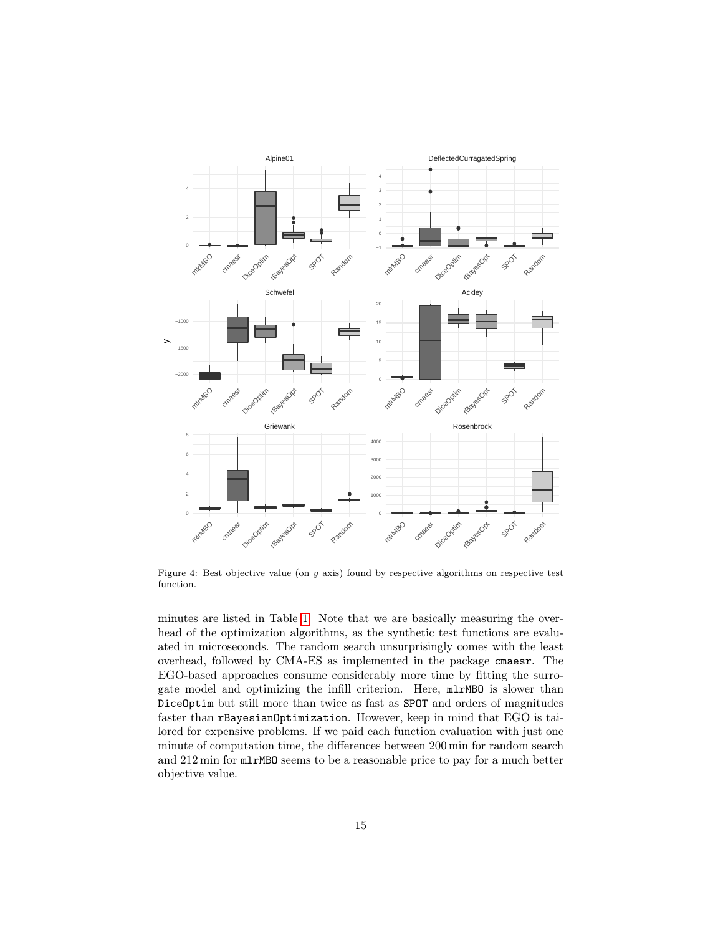

<span id="page-14-0"></span>Figure 4: Best objective value (on  $y$  axis) found by respective algorithms on respective test function.

minutes are listed in Table [1.](#page-15-1) Note that we are basically measuring the overhead of the optimization algorithms, as the synthetic test functions are evaluated in microseconds. The random search unsurprisingly comes with the least overhead, followed by CMA-ES as implemented in the package cmaesr. The EGO-based approaches consume considerably more time by fitting the surrogate model and optimizing the infill criterion. Here, mlrMBO is slower than DiceOptim but still more than twice as fast as SPOT and orders of magnitudes faster than rBayesianOptimization. However, keep in mind that EGO is tailored for expensive problems. If we paid each function evaluation with just one minute of computation time, the differences between 200 min for random search and 212 min for mlrMBO seems to be a reasonable price to pay for a much better objective value.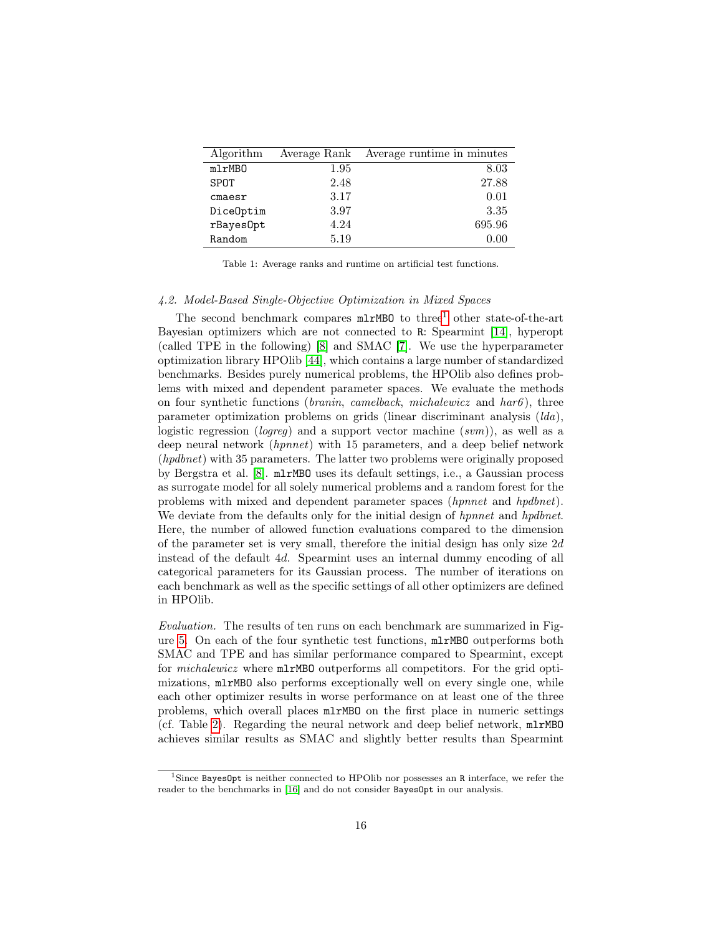| Algorithm | Average Rank | Average runtime in minutes |
|-----------|--------------|----------------------------|
| mlrMBO    | 1.95         | 8.03                       |
| SPOT      | 2.48         | 27.88                      |
| cmaesr    | 3.17         | 0.01                       |
| DiceOptim | 3.97         | 3.35                       |
| rBayesOpt | 4.24         | 695.96                     |
| Random    | 5.19         | 0.00                       |

<span id="page-15-1"></span>Table 1: Average ranks and runtime on artificial test functions.

# <span id="page-15-0"></span>4.2. Model-Based Single-Objective Optimization in Mixed Spaces

The second benchmark compares  $m\text{LMBO}$  to three<sup>[1](#page-15-2)</sup> other state-of-the-art Bayesian optimizers which are not connected to R: Spearmint [\[14\]](#page-20-4), hyperopt (called TPE in the following) [\[8\]](#page-19-7) and SMAC [\[7\]](#page-19-6). We use the hyperparameter optimization library HPOlib [\[44\]](#page-22-10), which contains a large number of standardized benchmarks. Besides purely numerical problems, the HPOlib also defines problems with mixed and dependent parameter spaces. We evaluate the methods on four synthetic functions (*branin*, *camelback*, *michalewicz* and  $har6$ ), three parameter optimization problems on grids (linear discriminant analysis  $(lda)$ , logistic regression (logreq) and a support vector machine  $(svm)$ ), as well as a deep neural network (hpnnet) with 15 parameters, and a deep belief network (hpdbnet) with 35 parameters. The latter two problems were originally proposed by Bergstra et al. [\[8\]](#page-19-7). mlrMBO uses its default settings, i.e., a Gaussian process as surrogate model for all solely numerical problems and a random forest for the problems with mixed and dependent parameter spaces (hpnnet and hpdbnet). We deviate from the defaults only for the initial design of *hpnnet* and *hpdbnet*. Here, the number of allowed function evaluations compared to the dimension of the parameter set is very small, therefore the initial design has only size 2d instead of the default 4d. Spearmint uses an internal dummy encoding of all categorical parameters for its Gaussian process. The number of iterations on each benchmark as well as the specific settings of all other optimizers are defined in HPOlib.

Evaluation. The results of ten runs on each benchmark are summarized in Figure [5.](#page-16-1) On each of the four synthetic test functions, mlrMBO outperforms both SMAC and TPE and has similar performance compared to Spearmint, except for michalewicz where mlrMBO outperforms all competitors. For the grid optimizations, mlrMBO also performs exceptionally well on every single one, while each other optimizer results in worse performance on at least one of the three problems, which overall places mlrMBO on the first place in numeric settings (cf. Table [2\)](#page-17-1). Regarding the neural network and deep belief network, mlrMBO achieves similar results as SMAC and slightly better results than Spearmint

<span id="page-15-2"></span><sup>1</sup>Since BayesOpt is neither connected to HPOlib nor possesses an R interface, we refer the reader to the benchmarks in [\[16\]](#page-20-6) and do not consider BayesOpt in our analysis.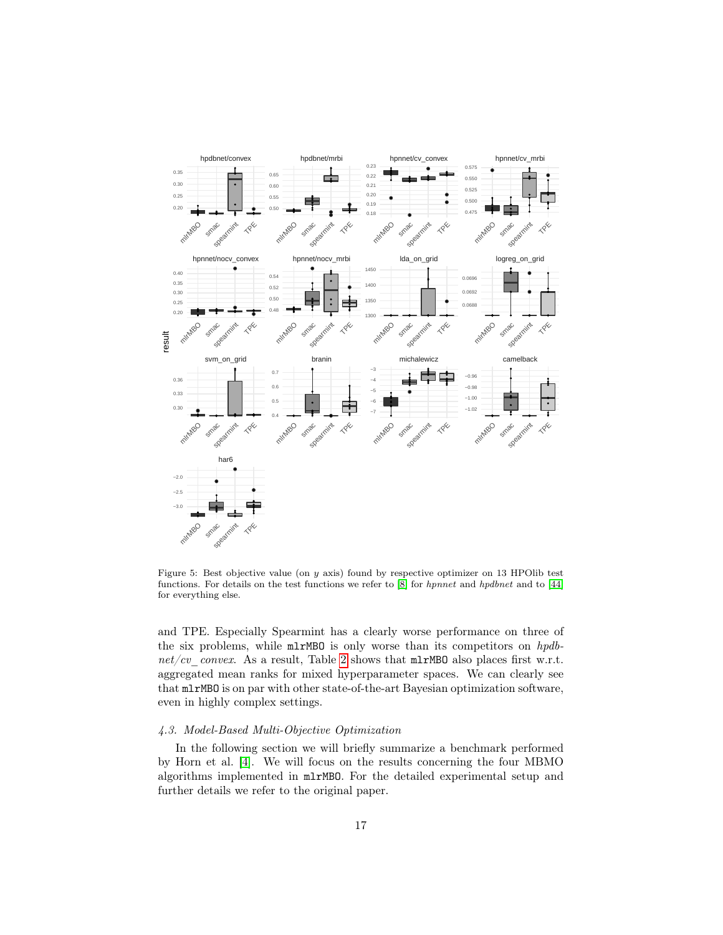

<span id="page-16-1"></span>Figure 5: Best objective value (on  $y$  axis) found by respective optimizer on 13 HPOlib test functions. For details on the test functions we refer to [\[8\]](#page-19-7) for *hpnnet* and *hpdbnet* and to [\[44\]](#page-22-10) for everything else.

and TPE. Especially Spearmint has a clearly worse performance on three of the six problems, while  $mlrMBO$  is only worse than its competitors on hpdb-net/cv\_convex. As a result, Table [2](#page-17-1) shows that  $mlrMBO$  also places first w.r.t. aggregated mean ranks for mixed hyperparameter spaces. We can clearly see that mlrMBO is on par with other state-of-the-art Bayesian optimization software, even in highly complex settings.

# <span id="page-16-0"></span>4.3. Model-Based Multi-Objective Optimization

In the following section we will briefly summarize a benchmark performed by Horn et al. [\[4\]](#page-19-3). We will focus on the results concerning the four MBMO algorithms implemented in mlrMBO. For the detailed experimental setup and further details we refer to the original paper.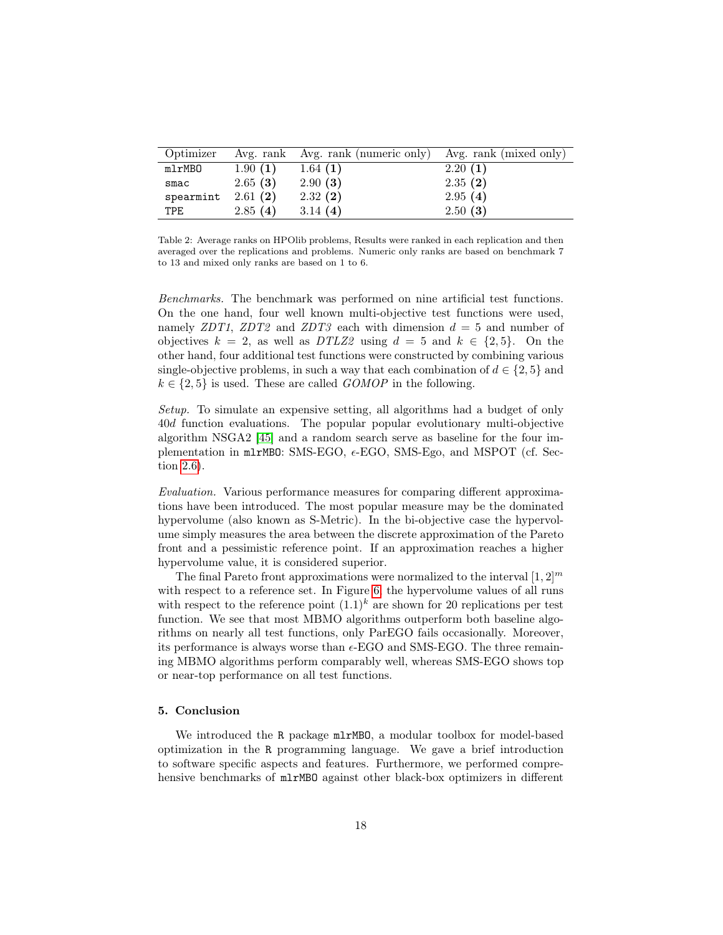| Optimizer  |         | Avg. rank Avg. rank (numeric only) Avg. rank (mixed only) |         |
|------------|---------|-----------------------------------------------------------|---------|
| mlrMBO     | 1.90(1) | 1.64(1)                                                   | 2.20(1) |
| smac       | 2.65(3) | 2.90(3)                                                   | 2.35(2) |
| spearmint  | 2.61(2) | 2.32(2)                                                   | 2.95(4) |
| <b>TPE</b> | 2.85(4) | 3.14 $(4)$                                                | 2.50(3) |

<span id="page-17-1"></span>Table 2: Average ranks on HPOlib problems, Results were ranked in each replication and then averaged over the replications and problems. Numeric only ranks are based on benchmark 7 to 13 and mixed only ranks are based on 1 to 6.

Benchmarks. The benchmark was performed on nine artificial test functions. On the one hand, four well known multi-objective test functions were used, namely ZDT1, ZDT2 and ZDT3 each with dimension  $d = 5$  and number of objectives  $k = 2$ , as well as  $DTLZ2$  using  $d = 5$  and  $k \in \{2, 5\}$ . On the other hand, four additional test functions were constructed by combining various single-objective problems, in such a way that each combination of  $d \in \{2, 5\}$  and  $k \in \{2, 5\}$  is used. These are called  $GOMOP$  in the following.

Setup. To simulate an expensive setting, all algorithms had a budget of only 40d function evaluations. The popular popular evolutionary multi-objective algorithm NSGA2 [\[45\]](#page-22-11) and a random search serve as baseline for the four implementation in m1rMB0: SMS-EGO,  $\epsilon$ -EGO, SMS-Ego, and MSPOT (cf. Section [2.6\)](#page-10-1).

Evaluation. Various performance measures for comparing different approximations have been introduced. The most popular measure may be the dominated hypervolume (also known as S-Metric). In the bi-objective case the hypervolume simply measures the area between the discrete approximation of the Pareto front and a pessimistic reference point. If an approximation reaches a higher hypervolume value, it is considered superior.

The final Pareto front approximations were normalized to the interval  $[1, 2]^m$ with respect to a reference set. In Figure [6,](#page-18-0) the hypervolume values of all runs with respect to the reference point  $(1.1)^k$  are shown for 20 replications per test function. We see that most MBMO algorithms outperform both baseline algorithms on nearly all test functions, only ParEGO fails occasionally. Moreover, its performance is always worse than  $\epsilon$ -EGO and SMS-EGO. The three remaining MBMO algorithms perform comparably well, whereas SMS-EGO shows top or near-top performance on all test functions.

### <span id="page-17-0"></span>5. Conclusion

We introduced the R package mlrMBO, a modular toolbox for model-based optimization in the R programming language. We gave a brief introduction to software specific aspects and features. Furthermore, we performed comprehensive benchmarks of mlrMBO against other black-box optimizers in different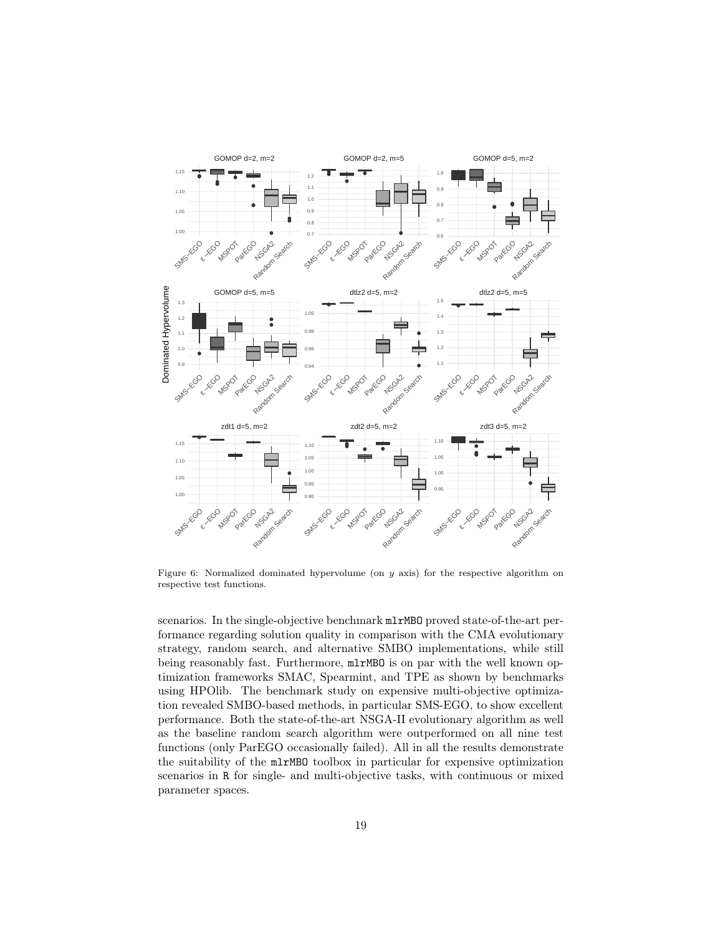

<span id="page-18-0"></span>Figure 6: Normalized dominated hypervolume (on y axis) for the respective algorithm on respective test functions.

scenarios. In the single-objective benchmark mlrMBO proved state-of-the-art performance regarding solution quality in comparison with the CMA evolutionary strategy, random search, and alternative SMBO implementations, while still being reasonably fast. Furthermore, mlrMBO is on par with the well known optimization frameworks SMAC, Spearmint, and TPE as shown by benchmarks using HPOlib. The benchmark study on expensive multi-objective optimization revealed SMBO-based methods, in particular SMS-EGO, to show excellent performance. Both the state-of-the-art NSGA-II evolutionary algorithm as well as the baseline random search algorithm were outperformed on all nine test functions (only ParEGO occasionally failed). All in all the results demonstrate the suitability of the mlrMBO toolbox in particular for expensive optimization scenarios in R for single- and multi-objective tasks, with continuous or mixed parameter spaces.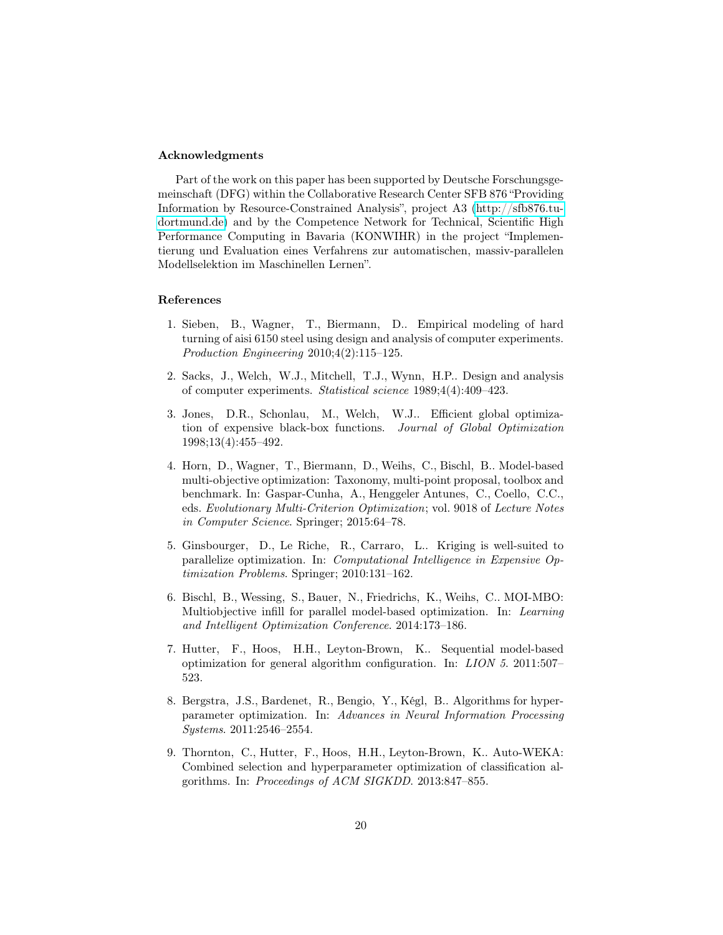# Acknowledgments

Part of the work on this paper has been supported by Deutsche Forschungsgemeinschaft (DFG) within the Collaborative Research Center SFB 876 "Providing Information by Resource-Constrained Analysis", project A3 [\(http://sfb876.tu](http://sfb876.tu-dortmund.de)[dortmund.de\)](http://sfb876.tu-dortmund.de) and by the Competence Network for Technical, Scientific High Performance Computing in Bavaria (KONWIHR) in the project "Implementierung und Evaluation eines Verfahrens zur automatischen, massiv-parallelen Modellselektion im Maschinellen Lernen".

# References

- <span id="page-19-0"></span>1. Sieben, B., Wagner, T., Biermann, D.. Empirical modeling of hard turning of aisi 6150 steel using design and analysis of computer experiments. Production Engineering 2010;4(2):115–125.
- <span id="page-19-1"></span>2. Sacks, J., Welch, W.J., Mitchell, T.J., Wynn, H.P.. Design and analysis of computer experiments. Statistical science 1989;4(4):409–423.
- <span id="page-19-2"></span>3. Jones, D.R., Schonlau, M., Welch, W.J.. Efficient global optimization of expensive black-box functions. Journal of Global Optimization 1998;13(4):455–492.
- <span id="page-19-3"></span>4. Horn, D., Wagner, T., Biermann, D., Weihs, C., Bischl, B.. Model-based multi-objective optimization: Taxonomy, multi-point proposal, toolbox and benchmark. In: Gaspar-Cunha, A., Henggeler Antunes, C., Coello, C.C., eds. Evolutionary Multi-Criterion Optimization; vol. 9018 of Lecture Notes in Computer Science. Springer; 2015:64–78.
- <span id="page-19-4"></span>5. Ginsbourger, D., Le Riche, R., Carraro, L.. Kriging is well-suited to parallelize optimization. In: Computational Intelligence in Expensive Optimization Problems. Springer; 2010:131–162.
- <span id="page-19-5"></span>6. Bischl, B., Wessing, S., Bauer, N., Friedrichs, K., Weihs, C.. MOI-MBO: Multiobjective infill for parallel model-based optimization. In: Learning and Intelligent Optimization Conference. 2014:173–186.
- <span id="page-19-6"></span>7. Hutter, F., Hoos, H.H., Leyton-Brown, K.. Sequential model-based optimization for general algorithm configuration. In: LION 5. 2011:507– 523.
- <span id="page-19-7"></span>8. Bergstra, J.S., Bardenet, R., Bengio, Y., Kégl, B.. Algorithms for hyperparameter optimization. In: Advances in Neural Information Processing Systems. 2011:2546–2554.
- <span id="page-19-8"></span>9. Thornton, C., Hutter, F., Hoos, H.H., Leyton-Brown, K.. Auto-WEKA: Combined selection and hyperparameter optimization of classification algorithms. In: Proceedings of ACM SIGKDD. 2013:847–855.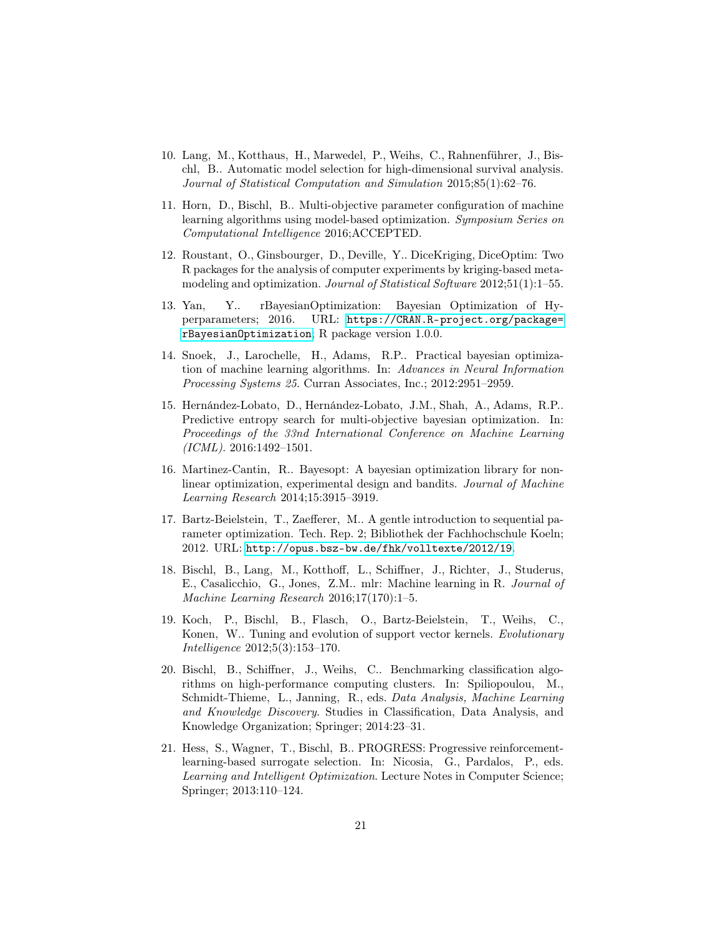- <span id="page-20-0"></span>10. Lang, M., Kotthaus, H., Marwedel, P., Weihs, C., Rahnenführer, J., Bischl, B.. Automatic model selection for high-dimensional survival analysis. Journal of Statistical Computation and Simulation 2015;85(1):62–76.
- <span id="page-20-1"></span>11. Horn, D., Bischl, B.. Multi-objective parameter configuration of machine learning algorithms using model-based optimization. Symposium Series on Computational Intelligence 2016;ACCEPTED.
- <span id="page-20-2"></span>12. Roustant, O., Ginsbourger, D., Deville, Y.. DiceKriging, DiceOptim: Two R packages for the analysis of computer experiments by kriging-based metamodeling and optimization. Journal of Statistical Software 2012;51(1):1–55.
- <span id="page-20-3"></span>13. Yan, Y.. rBayesianOptimization: Bayesian Optimization of Hyperparameters; 2016. URL: [https://CRAN.R-project.org/package=](https://CRAN.R-project.org/package=rBayesianOptimization) [rBayesianOptimization](https://CRAN.R-project.org/package=rBayesianOptimization); R package version 1.0.0.
- <span id="page-20-4"></span>14. Snoek, J., Larochelle, H., Adams, R.P.. Practical bayesian optimization of machine learning algorithms. In: Advances in Neural Information Processing Systems 25. Curran Associates, Inc.; 2012:2951–2959.
- <span id="page-20-5"></span>15. Hernández-Lobato, D., Hernández-Lobato, J.M., Shah, A., Adams, R.P.. Predictive entropy search for multi-objective bayesian optimization. In: Proceedings of the 33nd International Conference on Machine Learning  $(ICML)$ . 2016:1492-1501.
- <span id="page-20-6"></span>16. Martinez-Cantin, R.. Bayesopt: A bayesian optimization library for nonlinear optimization, experimental design and bandits. Journal of Machine Learning Research 2014;15:3915–3919.
- <span id="page-20-7"></span>17. Bartz-Beielstein, T., Zaefferer, M.. A gentle introduction to sequential parameter optimization. Tech. Rep. 2; Bibliothek der Fachhochschule Koeln; 2012. URL: <http://opus.bsz-bw.de/fhk/volltexte/2012/19>.
- <span id="page-20-8"></span>18. Bischl, B., Lang, M., Kotthoff, L., Schiffner, J., Richter, J., Studerus, E., Casalicchio, G., Jones, Z.M.. mlr: Machine learning in R. Journal of Machine Learning Research 2016;17(170):1–5.
- <span id="page-20-9"></span>19. Koch, P., Bischl, B., Flasch, O., Bartz-Beielstein, T., Weihs, C., Konen, W.. Tuning and evolution of support vector kernels. Evolutionary Intelligence 2012;5(3):153–170.
- <span id="page-20-10"></span>20. Bischl, B., Schiffner, J., Weihs, C.. Benchmarking classification algorithms on high-performance computing clusters. In: Spiliopoulou, M., Schmidt-Thieme, L., Janning, R., eds. Data Analysis, Machine Learning and Knowledge Discovery. Studies in Classification, Data Analysis, and Knowledge Organization; Springer; 2014:23–31.
- <span id="page-20-11"></span>21. Hess, S., Wagner, T., Bischl, B.. PROGRESS: Progressive reinforcementlearning-based surrogate selection. In: Nicosia, G., Pardalos, P., eds. Learning and Intelligent Optimization. Lecture Notes in Computer Science; Springer; 2013:110–124.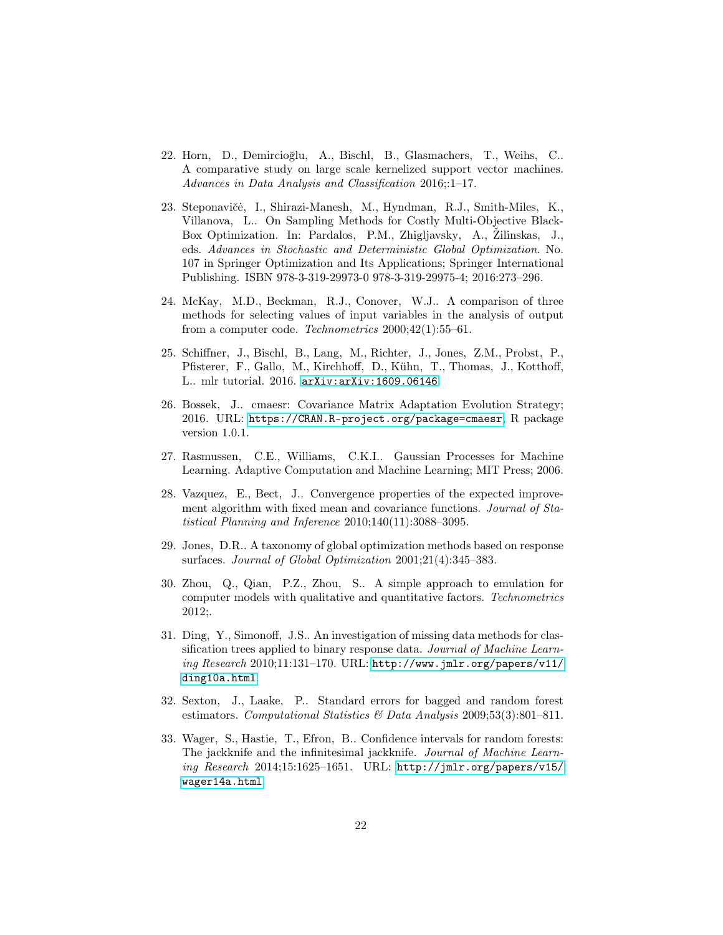- <span id="page-21-0"></span>22. Horn, D., Demircioğlu, A., Bischl, B., Glasmachers, T., Weihs, C.. A comparative study on large scale kernelized support vector machines. Advances in Data Analysis and Classification 2016;:1–17.
- <span id="page-21-1"></span>23. Steponavičė, I., Shirazi-Manesh, M., Hyndman, R.J., Smith-Miles, K., Villanova, L.. On Sampling Methods for Costly Multi-Objective Black-Box Optimization. In: Pardalos, P.M., Zhigljavsky, A., Žilinskas, J., eds. Advances in Stochastic and Deterministic Global Optimization. No. 107 in Springer Optimization and Its Applications; Springer International Publishing. ISBN 978-3-319-29973-0 978-3-319-29975-4; 2016:273–296.
- <span id="page-21-2"></span>24. McKay, M.D., Beckman, R.J., Conover, W.J.. A comparison of three methods for selecting values of input variables in the analysis of output from a computer code. Technometrics 2000;42(1):55–61.
- <span id="page-21-3"></span>25. Schiffner, J., Bischl, B., Lang, M., Richter, J., Jones, Z.M., Probst, P., Pfisterer, F., Gallo, M., Kirchhoff, D., Kühn, T., Thomas, J., Kotthoff, L.. mlr tutorial. 2016. [arXiv:arXiv:1609.06146](http://arxiv.org/abs/arXiv:1609.06146).
- <span id="page-21-4"></span>26. Bossek, J.. cmaesr: Covariance Matrix Adaptation Evolution Strategy; 2016. URL: <https://CRAN.R-project.org/package=cmaesr>; R package version 1.0.1.
- <span id="page-21-5"></span>27. Rasmussen, C.E., Williams, C.K.I.. Gaussian Processes for Machine Learning. Adaptive Computation and Machine Learning; MIT Press; 2006.
- <span id="page-21-6"></span>28. Vazquez, E., Bect, J.. Convergence properties of the expected improvement algorithm with fixed mean and covariance functions. Journal of Statistical Planning and Inference 2010;140(11):3088–3095.
- <span id="page-21-7"></span>29. Jones, D.R.. A taxonomy of global optimization methods based on response surfaces. Journal of Global Optimization 2001;21(4):345–383.
- <span id="page-21-8"></span>30. Zhou, Q., Qian, P.Z., Zhou, S.. A simple approach to emulation for computer models with qualitative and quantitative factors. Technometrics 2012;.
- <span id="page-21-9"></span>31. Ding, Y., Simonoff, J.S.. An investigation of missing data methods for classification trees applied to binary response data. Journal of Machine Learn $ing Research 2010;11:131–170. URL: http://www.jmlr.org/papers/v11/$  $ing Research 2010;11:131–170. URL: http://www.jmlr.org/papers/v11/$ [ding10a.html](http://www.jmlr.org/papers/v11/ding10a.html).
- <span id="page-21-10"></span>32. Sexton, J., Laake, P.. Standard errors for bagged and random forest estimators. Computational Statistics & Data Analysis 2009;53(3):801–811.
- <span id="page-21-11"></span>33. Wager, S., Hastie, T., Efron, B.. Confidence intervals for random forests: The jackknife and the infinitesimal jackknife. Journal of Machine Learning Research 2014;15:1625–1651. URL: [http://jmlr.org/papers/v15/](http://jmlr.org/papers/v15/wager14a.html) [wager14a.html](http://jmlr.org/papers/v15/wager14a.html).